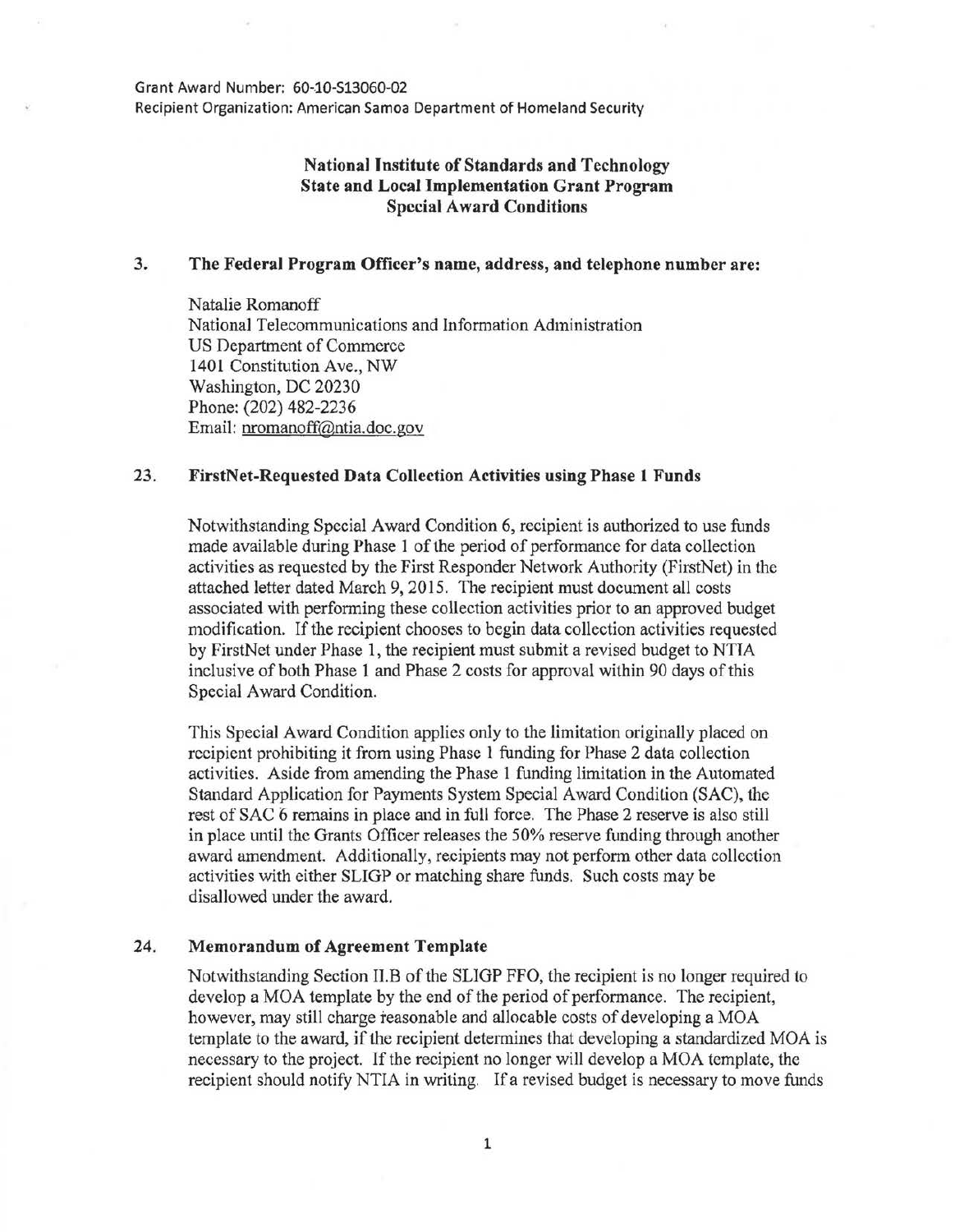Grant Award Number: 60-10-513060-02

Recipient Organization: American Samoa Department of Homeland Security

## National Institute of Standards and Technology State and Local Implementation Grant Program Special Award Conditions

## 3. The Federal Program Officer's name, address, and telephone number are:

Natalie Romanoff National Telecommunications and Information Administration US Department of Commerce 1401 Constitution Ave., NW Washington, DC 20230 Phone: (202) 482-2236 Email: nromanoff@ntia.doc.gov

## 23. FirstNet-Requested Data Collection Activities using Phase 1 Funds

Notwithstanding Special Award Condition 6, recipient is authorized to use funds made available during Phase 1 of the period of performance for data collection activities as requested by the First Responder Network Authority (FirstNet) in the attached letter dated March 9, 2015. The recipient must document all costs associated with performing these collection activities prior to an approved budget modification. If the recipient chooses to begin data collection activities requested by FirstNet under Phase 1, the recipient must submit a revised budget to NTIA inclusive of both Phase 1 and Phase 2 costs for approval within 90 days of this Special Award Condition.

This Special Award Condition applies only to the limitation originally placed on recipient prohibiting it from using Phase 1 funding for Phase 2 data collection activities. Aside from amending the Phase 1 funding limitation in the Automated Standard Application for Payments System Special Award Condition (SAC), the rest of SAC 6 remains in place and in full force. The Phase 2 reserve is also still in place until the Grants Officer releases the 50% reserve funding through another award amendment. Additionally, recipients may not perform other data collection activities with either SLIGP or matching share funds. Such costs may be disallowed under the award.

## 24. Memorandum of Agreement Template

Notwithstanding Section II.B of the SLIGP FFO, the recipient is no longer required to develop a MOA template by the end of the period of performance. The recipient, however, may still charge reasonable and allocable costs of developing a MOA template to the award, if the recipient determines that developing a standardized MOA is necessary to the project. If the recipient no longer will develop a MOA template, the recipient should notify NTIA in writing. If a revised budget is necessary to move funds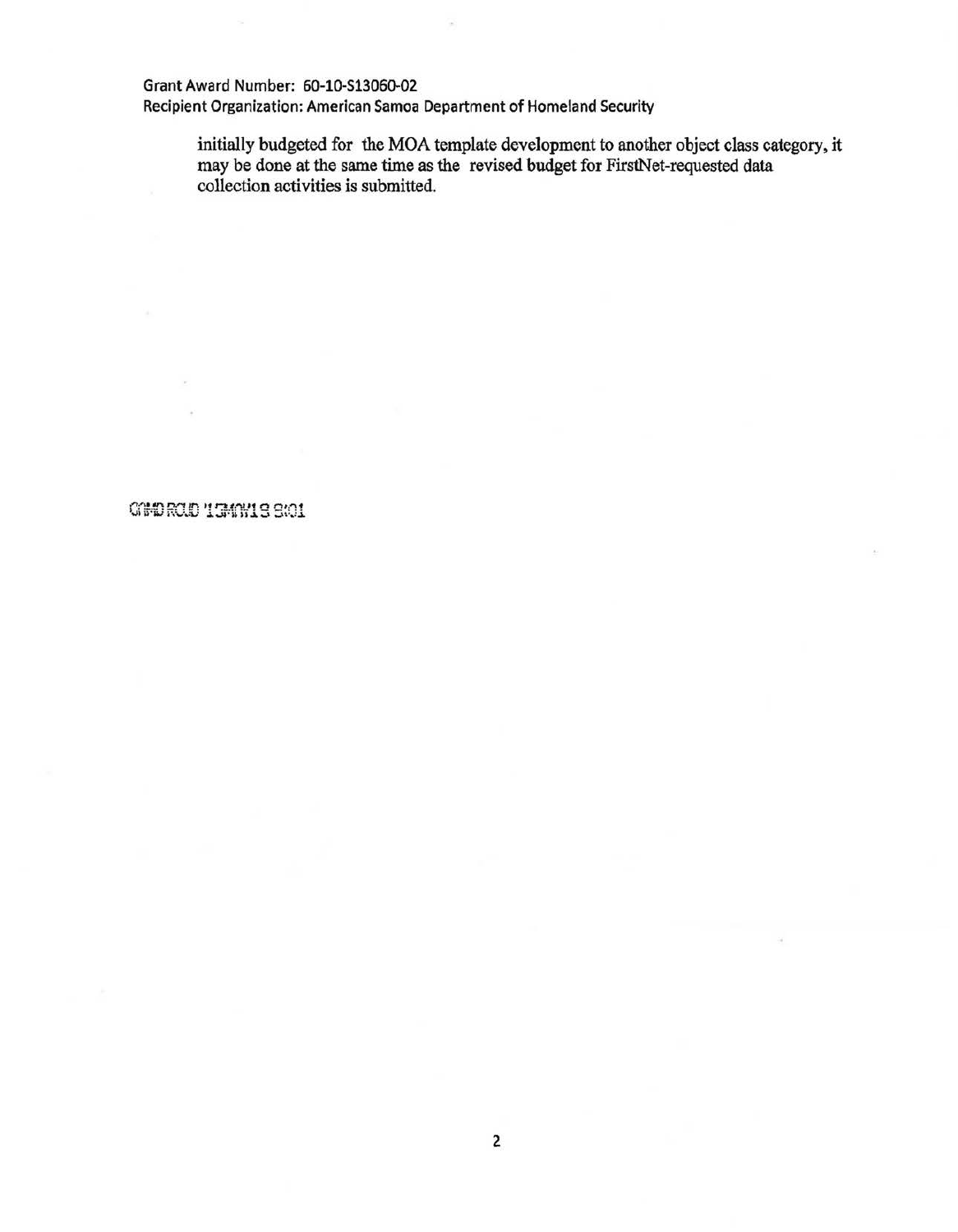Grant Award Number: 60-10-S1306Q-02

Recipient Organization: American Samoa Department of Homeland Security

initially budgeted for the MOA template development to another object class category, it may be done at the same time as the revised budget for FirstNet-requested data collection activities is submitted.

COMPROJE 15MAY19 9:01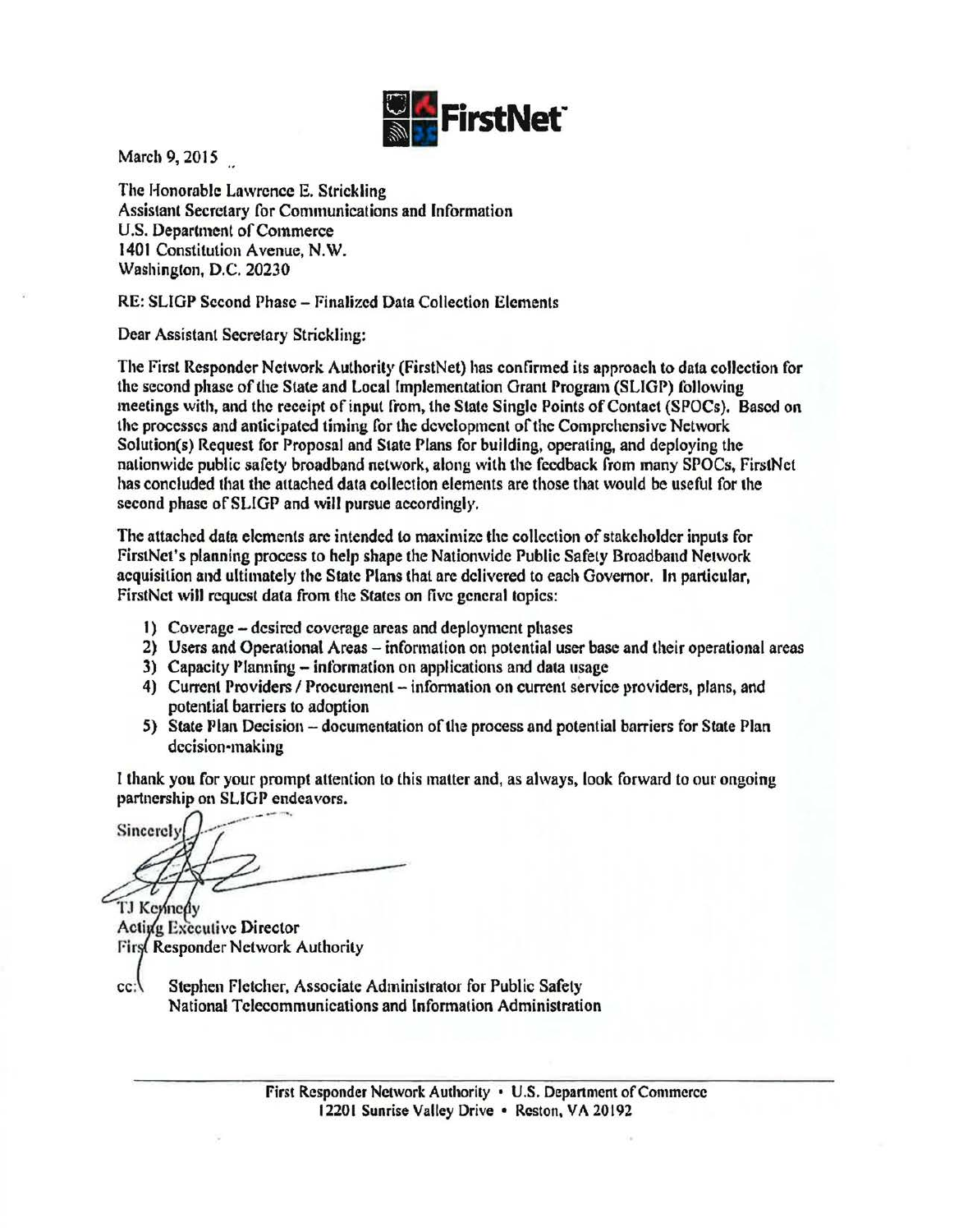

March 9, 2015

The Honorable Lawrence E. Strickling Assistant Secretary for Communications and Information U.S. Department of Commerce 1401 Constitution Avenue, N.W. Washington, D.C. 20230

RE: SLIGP Second Phase- Finalized Data Collection Elements

Dear Assistant Secretary Strickling:

The First Responder Network Authority (FirstNet) has confirmed its approach to data collection for the second phase of the State and Local [mplementation Grant Program (SLIGP) following meetings with, and the receipt of input from, the State Single Points of Contact (SPOCs). Based on the processes and anticipated timing for the development of the Comprehensive Network Solution(s) Request for Proposal and State Plans for building, operating, and deploying the nationwide public safety broadband network, along with the feedback from many SPOCs, FirstNet has concluded that the attached data collection elements are those that would be useful for the second phase of SLIGP and will pursue accordingly.

The attached data elements are intended to maximize the collection of stakeholder inputs for FirstNet's planning process to help shape the Nationwide Public Safety Broadband Network acquisition and ultimately the State Plans that are delivered to each Governor. In particular, FirstNct will request data from the States on five general topics:

- I) Coverage -desired coverage areas and deployment phases
- 2) Users and Operational Areas- information on potential user base and their operational areas
- 3) Capacity Planning- information on applications and data usage
- 4) Current Providers / Procurement information on current service providers, plans, and potential barriers to adoption
- 5) State Plan Decision- documentation of the process and potential barriers for State Plan decision-making

I thank you for your prompt attention to this matter and, as always, look forward to our ongoing

partnership on SLIGP endeavors.<br>Sincerely

TJ Kennedy Acting Executive Director First Responder Network Authority

cc: Stephen Fletcher, Associate Administrator for Public Safety National Telecommunications and Information Administration